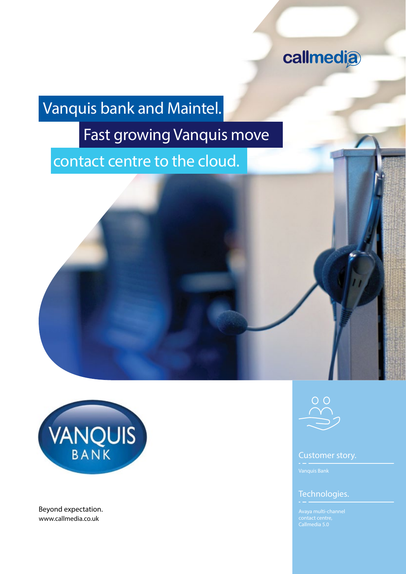

# Vanquis bank and Maintel.

# Fast growing Vanquis move

contact centre to the cloud.





www.callmedia.co.uk Beyond expectation.



## Customer story.

## Technologies.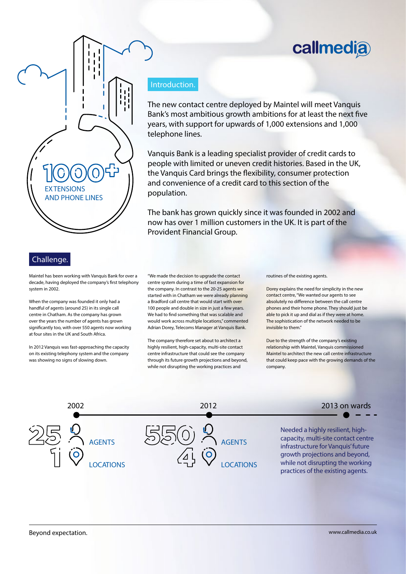# callmedia



## Challenge.

Maintel has been working with Vanquis Bank for over a decade, having deployed the company's first telephony system in 2002.

When the company was founded it only had a handful of agents (around 25) in its single call centre in Chatham. As the company has grown over the years the number of agents has grown significantly too, with over 550 agents now working at four sites in the UK and South Africa.

In 2012 Vanquis was fast-approaching the capacity on its existing telephony system and the company was showing no signs of slowing down.

### Introduction.

The new contact centre deployed by Maintel will meet Vanquis Bank's most ambitious growth ambitions for at least the next five years, with support for upwards of 1,000 extensions and 1,000 telephone lines.

Vanquis Bank is a leading specialist provider of credit cards to people with limited or uneven credit histories. Based in the UK, the Vanquis Card brings the flexibility, consumer protection and convenience of a credit card to this section of the population.

The bank has grown quickly since it was founded in 2002 and now has over 1 million customers in the UK. It is part of the Provident Financial Group.

"We made the decision to upgrade the contact centre system during a time of fast expansion for the company. In contrast to the 20-25 agents we started with in Chatham we were already planning a Bradford call centre that would start with over 100 people and double in size in just a few years. We had to find something that was scalable and would work across multiple locations," commented Adrian Dorey, Telecoms Manager at Vanquis Bank.

The company therefore set about to architect a highly resilient, high-capacity, multi-site contact centre infrastructure that could see the company through its future growth projections and beyond, while not disrupting the working practices and

#### routines of the existing agents.

Dorey explains the need for simplicity in the new contact centre, "We wanted our agents to see absolutely no difference between the call centre phones and their home phone. They should just be able to pick it up and dial as if they were at home. The sophistication of the network needed to be invisible to them."

Due to the strength of the company's existing relationship with Maintel, Vanquis commissioned Maintel to architect the new call centre infrastructure that could keep pace with the growing demands of the company.

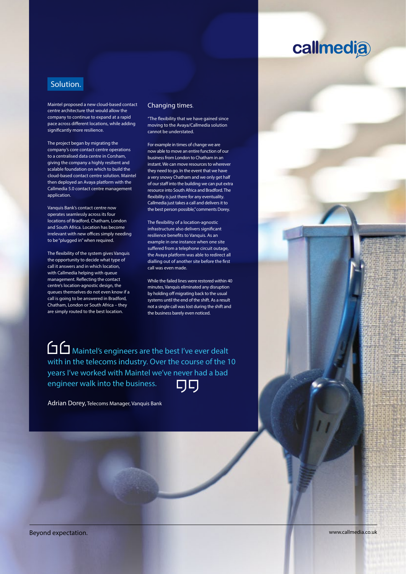## **callmedia**

## Solution.

Maintel proposed a new cloud-based contact centre architecture that would allow the company to continue to expand at a rapid pace across different locations, while adding significantly more resilience.

The project began by migrating the company's core contact centre operations to a centralised data centre in Corsham, giving the company a highly resilient and scalable foundation on which to build the cloud-based contact centre solution. Maintel then deployed an Avaya platform with the Callmedia 5.0 contact centre management application.

Vanquis Bank's contact centre now operates seamlessly across its four locations of Bradford, Chatham, London and South Africa. Location has become irrelevant with new offices simply needing to be "plugged in" when required.

The flexibility of the system gives Vanquis the opportunity to decide what type of call it answers and in which location, with Callmedia helping with queue management. Reflecting the contact centre's location-agnostic design, the queues themselves do not even know if a call is going to be answered in Bradford, Chatham, London or South Africa – they are simply routed to the best location.

### Changing times.

"The flexibility that we have gained since moving to the Avaya/Callmedia solution cannot be understated.

For example in times of change we are now able to move an entire function of our business from London to Chatham in an instant. We can move resources to wherever they need to go. In the event that we have a very snowy Chatham and we only get half of our staff into the building we can put extra resource into South Africa and Bradford. The flexibility is just there for any eventuality. Callmedia just takes a call and delivers it to the best person possible," comments Dorey.

The flexibility of a location-agnostic infrastructure also delivers significant resilience benefits to Vanquis. As an example in one instance when one site suffered from a telephone circuit outage, the Avaya platform was able to redirect all dialling out of another site before the first call was even made.

While the failed lines were restored within 40 minutes, Vanquis eliminated any disruption by holding off migrating back to the usual systems until the end of the shift. As a result not a single call was lost during the shift and the business barely even noticed.

Maintel's engineers are the best I've ever dealt with in the telecoms industry. Over the course of the 10 years I've worked with Maintel we've never had a bad engineer walk into the business. 口口

Adrian Dorey, Telecoms Manager, Vanquis Bank